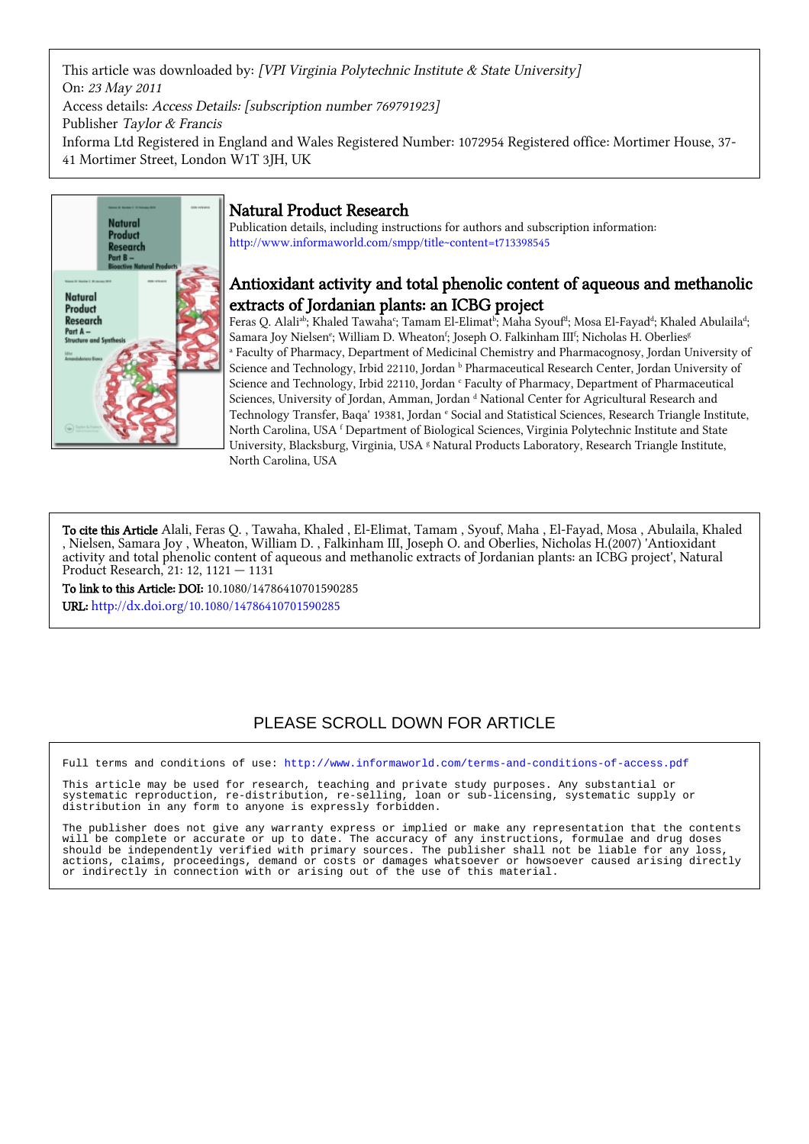This article was downloaded by: [VPI Virginia Polytechnic Institute & State University] On: 23 May 2011 Access details: Access Details: [subscription number 769791923] Publisher Taylor & Francis Informa Ltd Registered in England and Wales Registered Number: 1072954 Registered office: Mortimer House, 37- 41 Mortimer Street, London W1T 3JH, UK



# Natural Product Research

Publication details, including instructions for authors and subscription information: <http://www.informaworld.com/smpp/title~content=t713398545>

# Antioxidant activity and total phenolic content of aqueous and methanolic extracts of Jordanian plants: an ICBG project

Feras Q. Alaliªb; Khaled Tawahaʿ; Tamam El-Elimatʰ; Maha Syoufʰ; Mosa El-Fayadª; Khaled Abulaila<sup>d</sup>; Samara Joy Nielsen<sup>e</sup>; William D. Wheaton<sup>f</sup>; Joseph O. Falkinham III<sup>f</sup>; Nicholas H. Oberlies<sup>g</sup> a Faculty of Pharmacy, Department of Medicinal Chemistry and Pharmacognosy, Jordan University of Science and Technology, Irbid 22110, Jordan <sup>b</sup> Pharmaceutical Research Center, Jordan University of Science and Technology, Irbid 22110, Jordan <sup>c</sup> Faculty of Pharmacy, Department of Pharmaceutical Sciences, University of Jordan, Amman, Jordan d National Center for Agricultural Research and Technology Transfer, Baqa' 19381, Jordan e Social and Statistical Sciences, Research Triangle Institute, North Carolina, USA f Department of Biological Sciences, Virginia Polytechnic Institute and State University, Blacksburg, Virginia, USA <sup>g</sup> Natural Products Laboratory, Research Triangle Institute, North Carolina, USA

To cite this Article Alali, Feras Q. , Tawaha, Khaled , El-Elimat, Tamam , Syouf, Maha , El-Fayad, Mosa , Abulaila, Khaled , Nielsen, Samara Joy , Wheaton, William D. , Falkinham III, Joseph O. and Oberlies, Nicholas H.(2007) 'Antioxidant activity and total phenolic content of aqueous and methanolic extracts of Jordanian plants: an ICBG project', Natural Product Research, 21: 12, 1121 — 1131

To link to this Article: DOI: 10.1080/14786410701590285 URL: <http://dx.doi.org/10.1080/14786410701590285>

# PLEASE SCROLL DOWN FOR ARTICLE

Full terms and conditions of use:<http://www.informaworld.com/terms-and-conditions-of-access.pdf>

This article may be used for research, teaching and private study purposes. Any substantial or systematic reproduction, re-distribution, re-selling, loan or sub-licensing, systematic supply or distribution in any form to anyone is expressly forbidden.

The publisher does not give any warranty express or implied or make any representation that the contents will be complete or accurate or up to date. The accuracy of any instructions, formulae and drug doses should be independently verified with primary sources. The publisher shall not be liable for any loss, actions, claims, proceedings, demand or costs or damages whatsoever or howsoever caused arising directly or indirectly in connection with or arising out of the use of this material.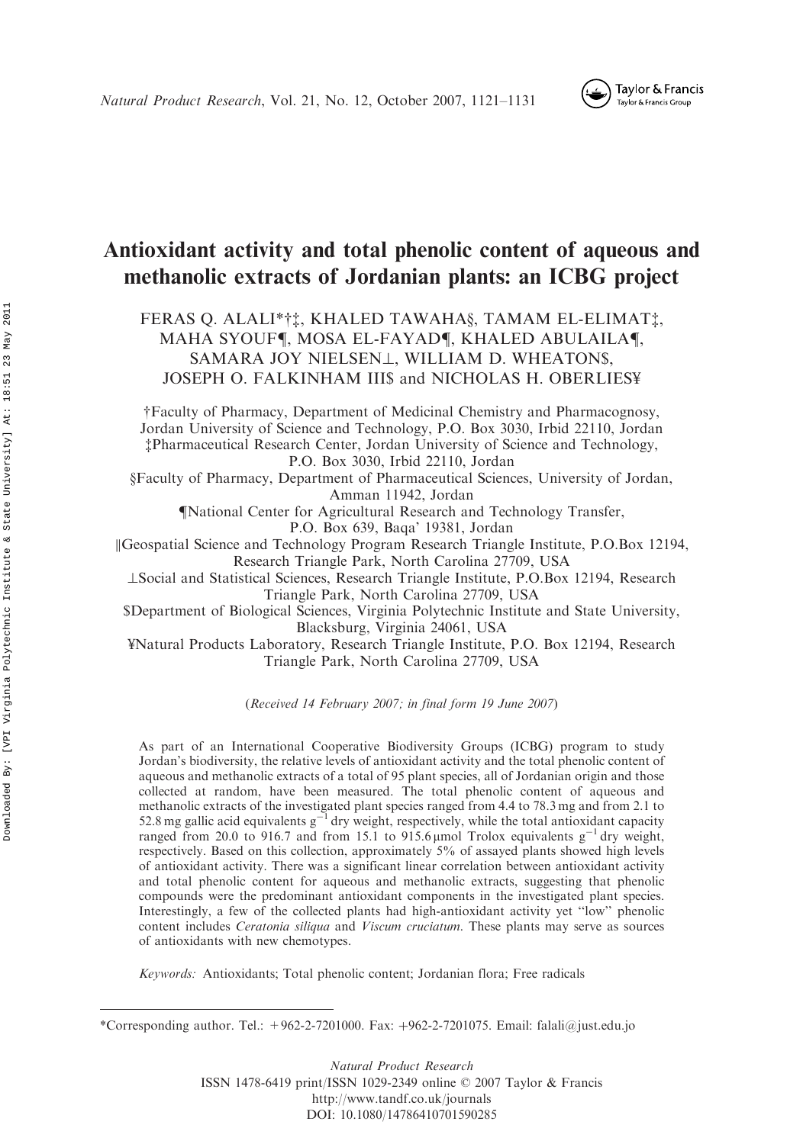

# Antioxidant activity and total phenolic content of aqueous and methanolic extracts of Jordanian plants: an ICBG project

FERAS Q. ALALI\*††, KHALED TAWAHA§, TAMAM EL-ELIMAT‡, MAHA SYOUF¶, MOSA EL-FAYAD¶, KHALED ABULAILA¶, SAMARA JOY NIELSENL, WILLIAM D. WHEATON\$, JOSEPH O. FALKINHAM III\$ and NICHOLAS H. OBERLIES¥

yFaculty of Pharmacy, Department of Medicinal Chemistry and Pharmacognosy, Jordan University of Science and Technology, P.O. Box 3030, Irbid 22110, Jordan zPharmaceutical Research Center, Jordan University of Science and Technology, P.O. Box 3030, Irbid 22110, Jordan

xFaculty of Pharmacy, Department of Pharmaceutical Sciences, University of Jordan, Amman 11942, Jordan

{National Center for Agricultural Research and Technology Transfer,

P.O. Box 639, Baqa' 19381, Jordan

kGeospatial Science and Technology Program Research Triangle Institute, P.O.Box 12194, Research Triangle Park, North Carolina 27709, USA

?Social and Statistical Sciences, Research Triangle Institute, P.O.Box 12194, Research Triangle Park, North Carolina 27709, USA

\$Department of Biological Sciences, Virginia Polytechnic Institute and State University, Blacksburg, Virginia 24061, USA

¥Natural Products Laboratory, Research Triangle Institute, P.O. Box 12194, Research Triangle Park, North Carolina 27709, USA

(Received 14 February 2007; in final form 19 June 2007)

As part of an International Cooperative Biodiversity Groups (ICBG) program to study Jordan's biodiversity, the relative levels of antioxidant activity and the total phenolic content of aqueous and methanolic extracts of a total of 95 plant species, all of Jordanian origin and those collected at random, have been measured. The total phenolic content of aqueous and methanolic extracts of the investigated plant species ranged from 4.4 to 78.3 mg and from 2.1 to 52.8 mg gallic acid equivalents  $g^{-1}$  dry weight, respectively, while the total antioxidant capacity ranged from 20.0 to 916.7 and from 15.1 to 915.6  $\mu$ mol Trolox equivalents g<sup>-1</sup> dry weight, respectively. Based on this collection, approximately 5% of assayed plants showed high levels of antioxidant activity. There was a significant linear correlation between antioxidant activity and total phenolic content for aqueous and methanolic extracts, suggesting that phenolic compounds were the predominant antioxidant components in the investigated plant species. Interestingly, a few of the collected plants had high-antioxidant activity yet ''low'' phenolic content includes Ceratonia siliqua and Viscum cruciatum. These plants may serve as sources of antioxidants with new chemotypes.

Keywords: Antioxidants; Total phenolic content; Jordanian flora; Free radicals

Natural Product Research ISSN 1478-6419 print/ISSN 1029-2349 online 2007 Taylor & Francis http://www.tandf.co.uk/journals DOI: 10.1080/14786410701590285

<sup>\*</sup>Corresponding author. Tel.:  $+962-2-7201000$ . Fax:  $+962-2-7201075$ . Email: falali@just.edu.jo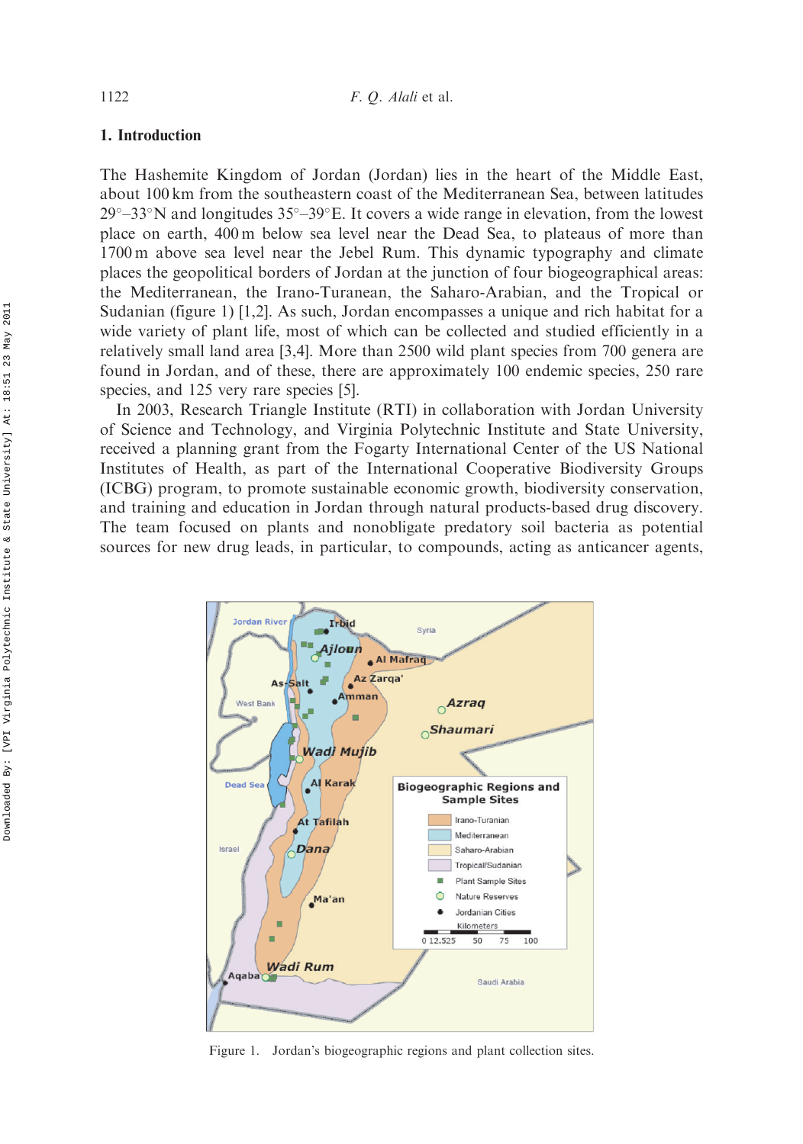## 1. Introduction

The Hashemite Kingdom of Jordan (Jordan) lies in the heart of the Middle East, about 100 km from the southeastern coast of the Mediterranean Sea, between latitudes 29°–33°N and longitudes 35°–39°E. It covers a wide range in elevation, from the lowest place on earth, 400 m below sea level near the Dead Sea, to plateaus of more than 1700 m above sea level near the Jebel Rum. This dynamic typography and climate places the geopolitical borders of Jordan at the junction of four biogeographical areas: the Mediterranean, the Irano-Turanean, the Saharo-Arabian, and the Tropical or Sudanian (figure 1) [1,2]. As such, Jordan encompasses a unique and rich habitat for a wide variety of plant life, most of which can be collected and studied efficiently in a relatively small land area [3,4]. More than 2500 wild plant species from 700 genera are found in Jordan, and of these, there are approximately 100 endemic species, 250 rare species, and 125 very rare species [5].

In 2003, Research Triangle Institute (RTI) in collaboration with Jordan University of Science and Technology, and Virginia Polytechnic Institute and State University, received a planning grant from the Fogarty International Center of the US National Institutes of Health, as part of the International Cooperative Biodiversity Groups (ICBG) program, to promote sustainable economic growth, biodiversity conservation, and training and education in Jordan through natural products-based drug discovery. The team focused on plants and nonobligate predatory soil bacteria as potential sources for new drug leads, in particular, to compounds, acting as anticancer agents,



Figure 1. Jordan's biogeographic regions and plant collection sites.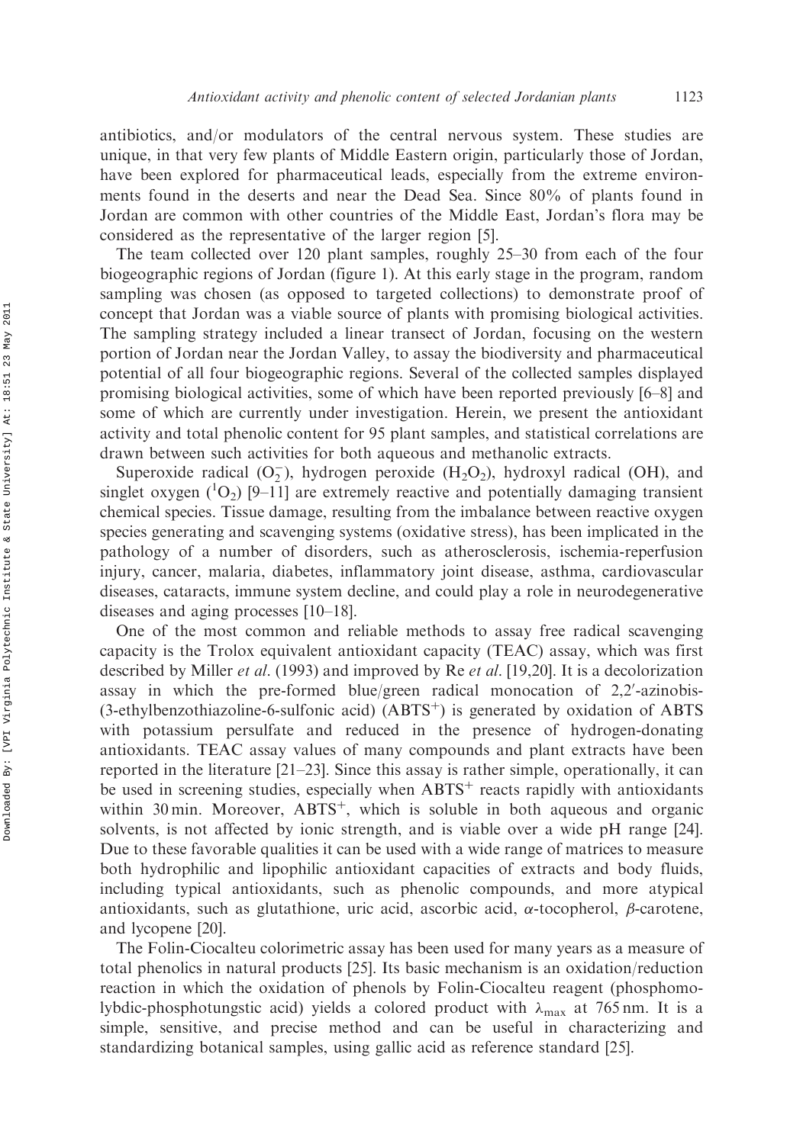antibiotics, and/or modulators of the central nervous system. These studies are unique, in that very few plants of Middle Eastern origin, particularly those of Jordan, have been explored for pharmaceutical leads, especially from the extreme environments found in the deserts and near the Dead Sea. Since 80% of plants found in Jordan are common with other countries of the Middle East, Jordan's flora may be considered as the representative of the larger region [5].

The team collected over 120 plant samples, roughly 25–30 from each of the four biogeographic regions of Jordan (figure 1). At this early stage in the program, random sampling was chosen (as opposed to targeted collections) to demonstrate proof of concept that Jordan was a viable source of plants with promising biological activities. The sampling strategy included a linear transect of Jordan, focusing on the western portion of Jordan near the Jordan Valley, to assay the biodiversity and pharmaceutical potential of all four biogeographic regions. Several of the collected samples displayed promising biological activities, some of which have been reported previously [6–8] and some of which are currently under investigation. Herein, we present the antioxidant activity and total phenolic content for 95 plant samples, and statistical correlations are drawn between such activities for both aqueous and methanolic extracts.

Superoxide radical  $(O_2^-)$ , hydrogen peroxide  $(H_2O_2)$ , hydroxyl radical (OH), and singlet oxygen  $({}^{1}O_{2})$  [9-11] are extremely reactive and potentially damaging transient chemical species. Tissue damage, resulting from the imbalance between reactive oxygen species generating and scavenging systems (oxidative stress), has been implicated in the pathology of a number of disorders, such as atherosclerosis, ischemia-reperfusion injury, cancer, malaria, diabetes, inflammatory joint disease, asthma, cardiovascular diseases, cataracts, immune system decline, and could play a role in neurodegenerative diseases and aging processes [10–18].

One of the most common and reliable methods to assay free radical scavenging capacity is the Trolox equivalent antioxidant capacity (TEAC) assay, which was first described by Miller et al. (1993) and improved by Re et al. [19,20]. It is a decolorization assay in which the pre-formed blue/green radical monocation of 2,2'-azinobis-(3-ethylbenzothiazoline-6-sulfonic acid)  $(ABTS<sup>+</sup>)$  is generated by oxidation of ABTS with potassium persulfate and reduced in the presence of hydrogen-donating antioxidants. TEAC assay values of many compounds and plant extracts have been reported in the literature [21–23]. Since this assay is rather simple, operationally, it can be used in screening studies, especially when  $ABTS<sup>+</sup>$  reacts rapidly with antioxidants within 30 min. Moreover,  $ABTS^+$ , which is soluble in both aqueous and organic solvents, is not affected by ionic strength, and is viable over a wide pH range [24]. Due to these favorable qualities it can be used with a wide range of matrices to measure both hydrophilic and lipophilic antioxidant capacities of extracts and body fluids, including typical antioxidants, such as phenolic compounds, and more atypical antioxidants, such as glutathione, uric acid, ascorbic acid,  $\alpha$ -tocopherol,  $\beta$ -carotene, and lycopene [20].

The Folin-Ciocalteu colorimetric assay has been used for many years as a measure of total phenolics in natural products [25]. Its basic mechanism is an oxidation/reduction reaction in which the oxidation of phenols by Folin-Ciocalteu reagent (phosphomolybdic-phosphotungstic acid) yields a colored product with  $\lambda_{\text{max}}$  at 765 nm. It is a simple, sensitive, and precise method and can be useful in characterizing and standardizing botanical samples, using gallic acid as reference standard [25].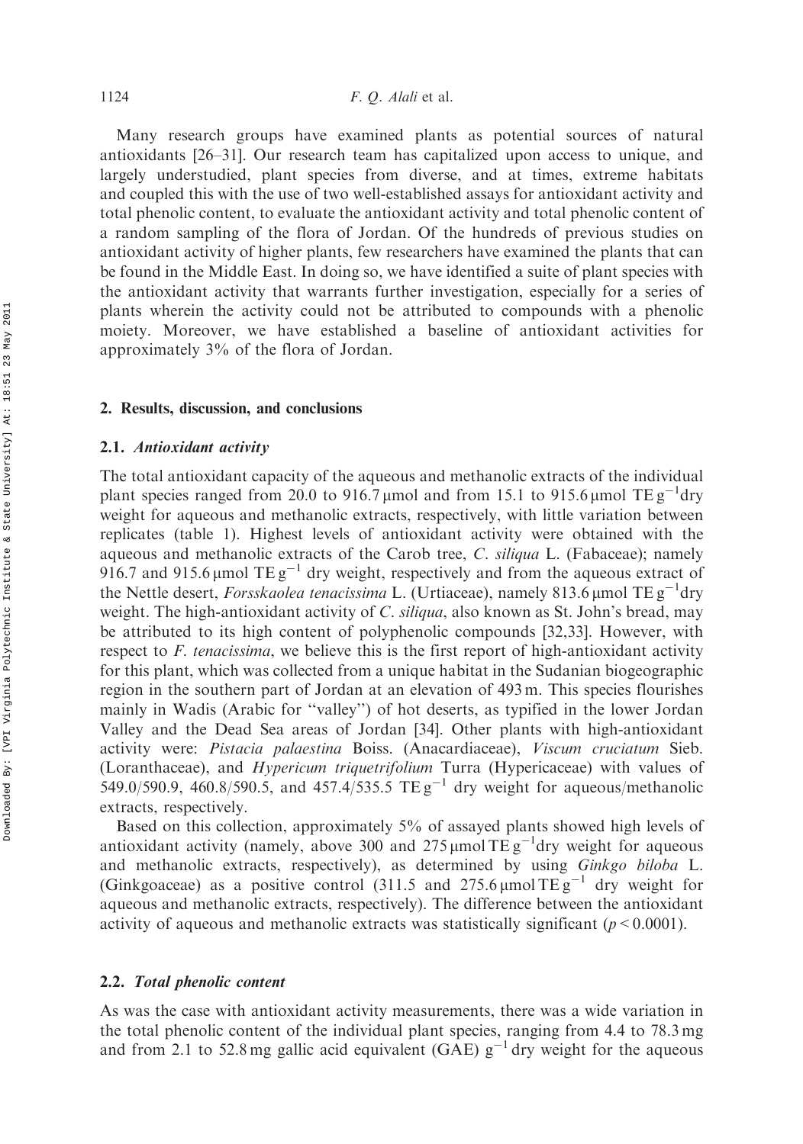Many research groups have examined plants as potential sources of natural antioxidants [26–31]. Our research team has capitalized upon access to unique, and largely understudied, plant species from diverse, and at times, extreme habitats and coupled this with the use of two well-established assays for antioxidant activity and total phenolic content, to evaluate the antioxidant activity and total phenolic content of a random sampling of the flora of Jordan. Of the hundreds of previous studies on antioxidant activity of higher plants, few researchers have examined the plants that can be found in the Middle East. In doing so, we have identified a suite of plant species with the antioxidant activity that warrants further investigation, especially for a series of plants wherein the activity could not be attributed to compounds with a phenolic moiety. Moreover, we have established a baseline of antioxidant activities for approximately 3% of the flora of Jordan.

#### 2. Results, discussion, and conclusions

#### 2.1. Antioxidant activity

The total antioxidant capacity of the aqueous and methanolic extracts of the individual plant species ranged from 20.0 to 916.7 µmol and from 15.1 to 915.6 µmol TE  $g^{-1}$ dry weight for aqueous and methanolic extracts, respectively, with little variation between replicates (table 1). Highest levels of antioxidant activity were obtained with the aqueous and methanolic extracts of the Carob tree, C. siliqua L. (Fabaceae); namely 916.7 and 915.6 µmol TE  $g^{-1}$  dry weight, respectively and from the aqueous extract of the Nettle desert, *Forsskaolea tenacissima* L. (Urtiaceae), namely 813.6 µmol TE  $g^{-1}$ dry weight. The high-antioxidant activity of C. siliqua, also known as St. John's bread, may be attributed to its high content of polyphenolic compounds [32,33]. However, with respect to F. tenacissima, we believe this is the first report of high-antioxidant activity for this plant, which was collected from a unique habitat in the Sudanian biogeographic region in the southern part of Jordan at an elevation of 493 m. This species flourishes mainly in Wadis (Arabic for ''valley'') of hot deserts, as typified in the lower Jordan Valley and the Dead Sea areas of Jordan [34]. Other plants with high-antioxidant activity were: Pistacia palaestina Boiss. (Anacardiaceae), Viscum cruciatum Sieb. (Loranthaceae), and Hypericum triquetrifolium Turra (Hypericaceae) with values of 549.0/590.9, 460.8/590.5, and 457.4/535.5 TE  $g^{-1}$  dry weight for aqueous/methanolic extracts, respectively.

Based on this collection, approximately 5% of assayed plants showed high levels of antioxidant activity (namely, above 300 and 275  $\mu$ mol TE g<sup>-1</sup>dry weight for aqueous and methanolic extracts, respectively), as determined by using Ginkgo biloba L. (Ginkgoaceae) as a positive control (311.5 and 275.6  $\mu$ mol TE g<sup>-1</sup> dry weight for aqueous and methanolic extracts, respectively). The difference between the antioxidant activity of aqueous and methanolic extracts was statistically significant ( $p < 0.0001$ ).

### 2.2. Total phenolic content

As was the case with antioxidant activity measurements, there was a wide variation in the total phenolic content of the individual plant species, ranging from 4.4 to 78.3 mg and from 2.1 to 52.8 mg gallic acid equivalent (GAE)  $g^{-1}$  dry weight for the aqueous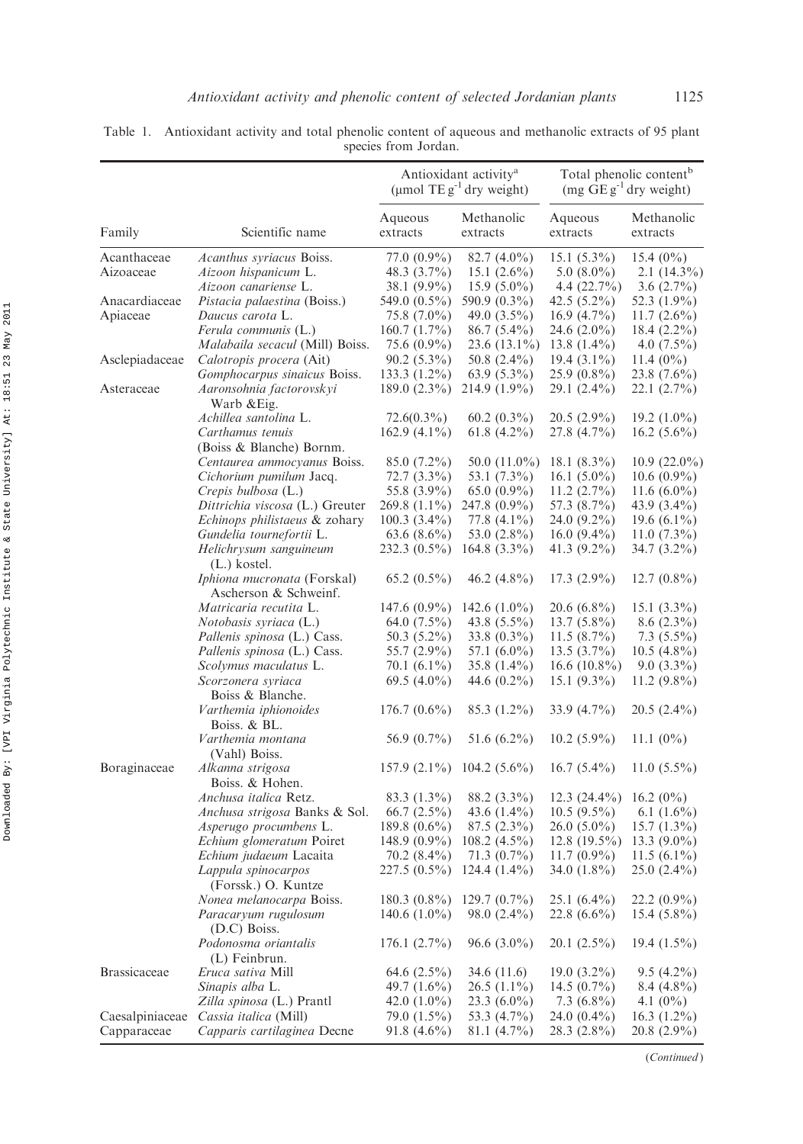|                          |                                                                          | Antioxidant activity <sup>a</sup><br>(µmol TE $g^{-1}$ dry weight) |                                                  | Total phenolic content <sup>b</sup><br>$(mg \tGg^{-1}$ dry weight) |                                                |
|--------------------------|--------------------------------------------------------------------------|--------------------------------------------------------------------|--------------------------------------------------|--------------------------------------------------------------------|------------------------------------------------|
| Family                   | Scientific name                                                          | Aqueous<br>extracts                                                | Methanolic<br>extracts                           | Aqueous<br>extracts                                                | Methanolic<br>extracts                         |
| Acanthaceae<br>Aizoaceae | Acanthus syriacus Boiss.<br>Aizoon hispanicum L.<br>Aizoon canariense L. | 77.0 (0.9%)<br>48.3 $(3.7\%)$<br>38.1 (9.9%)                       | $82.7(4.0\%)$<br>15.1 $(2.6\%)$<br>$15.9(5.0\%)$ | $15.1(5.3\%)$<br>5.0 $(8.0\%)$<br>4.4 $(22.7\%)$                   | 15.4 $(0\%)$<br>$2.1(14.3\%)$<br>3.6 $(2.7\%)$ |
| Anacardiaceae            | <i>Pistacia palaestina</i> (Boiss.)                                      | 549.0 $(0.5\%)$                                                    | 590.9 (0.3%)                                     | 42.5 $(5.2\%)$                                                     | 52.3 (1.9%)                                    |
| Apiaceae                 | Daucus carota L.                                                         | 75.8 (7.0%)                                                        | 49.0 $(3.5\%)$                                   | $16.9(4.7\%)$                                                      | $11.7(2.6\%)$                                  |
|                          | <i>Ferula communis</i> (L.)                                              | $160.7(1.7\%)$                                                     | $86.7(5.4\%)$                                    | 24.6 $(2.0\%)$                                                     | 18.4 $(2.2\%)$                                 |
|                          | <i>Malabaila secacul</i> (Mill) Boiss.                                   | 75.6 (0.9%)                                                        | $23.6(13.1\%)$                                   | 13.8 $(1.4\%)$                                                     | $4.0(7.5\%)$                                   |
| Asclepiadaceae           | Calotropis procera (Ait)                                                 | $90.2(5.3\%)$                                                      | 50.8 $(2.4\%)$                                   | $19.4(3.1\%)$                                                      | 11.4 $(0\%)$                                   |
|                          | Gomphocarpus sinaicus Boiss.                                             | $133.3(1.2\%)$                                                     | $63.9(5.3\%)$                                    | $25.9(0.8\%)$                                                      | $23.8(7.6\%)$                                  |
| Asteraceae               | Aaronsohnia factorovskyi<br>Warb & Eig.                                  | $189.0(2.3\%)$                                                     | $214.9(1.9\%)$                                   | 29.1 (2.4%)                                                        | 22.1 (2.7%)                                    |
|                          | Achillea santolina L.                                                    | $72.6(0.3\%)$                                                      | $60.2(0.3\%)$                                    | $20.5(2.9\%)$                                                      | $19.2(1.0\%)$                                  |
|                          | Carthamus tenuis                                                         | $162.9(4.1\%)$                                                     | 61.8 $(4.2\%)$                                   | 27.8 (4.7%)                                                        | $16.2(5.6\%)$                                  |
|                          | (Boiss & Blanche) Bornm.                                                 |                                                                    |                                                  |                                                                    |                                                |
|                          | Centaurea ammocyanus Boiss.                                              | $85.0(7.2\%)$                                                      | $50.0(11.0\%)$                                   | 18.1 $(8.3\%)$                                                     | $10.9(22.0\%)$                                 |
|                          | Cichorium pumilum Jacq.<br>Crepis bulbosa (L.)                           | $72.7(3.3\%)$<br>55.8 (3.9%)                                       | 53.1 (7.3%)<br>$65.0(0.9\%)$                     | 16.1 $(5.0\%)$<br>$11.2(2.7\%)$                                    | $10.6(0.9\%)$<br>11.6 $(6.0\%)$                |
|                          | Dittrichia viscosa (L.) Greuter                                          | $269.8(1.1\%)$                                                     | 247.8 (0.9%)                                     | 57.3 (8.7%)                                                        | 43.9 (3.4%)                                    |
|                          | <i>Echinops philistaeus &amp; zohary</i>                                 | $100.3(3.4\%)$                                                     | 77.8 (4.1%)                                      | 24.0 (9.2%)                                                        | 19.6 $(6.1\%)$                                 |
|                          | Gundelia tournefortii L.                                                 | $63.6(8.6\%)$                                                      | 53.0 (2.8%)                                      | 16.0 $(9.4\%)$                                                     | $11.0(7.3\%)$                                  |
|                          | Helichrysum sanguineum<br>$(L.)$ kostel.                                 | $232.3(0.5\%)$                                                     | $164.8(3.3\%)$                                   | 41.3 (9.2%)                                                        | 34.7 (3.2%)                                    |
|                          | <i>Iphiona mucronata</i> (Forskal)<br>Ascherson & Schweinf.              | $65.2(0.5\%)$                                                      | $46.2(4.8\%)$                                    | $17.3(2.9\%)$                                                      | $12.7(0.8\%)$                                  |
|                          | Matricaria recutita L.                                                   | $147.6(0.9\%)$                                                     | 142.6 $(1.0\%)$                                  | $20.6(6.8\%)$                                                      | $15.1(3.3\%)$                                  |
|                          | <i>Notobasis syriaca</i> (L.)                                            | 64.0 $(7.5\%)$                                                     | 43.8 $(5.5\%)$                                   | $13.7(5.8\%)$                                                      | $8.6(2.3\%)$                                   |
|                          | <i>Pallenis spinosa</i> (L.) Cass.                                       | 50.3 (5.2%)                                                        | $33.8(0.3\%)$                                    | $11.5(8.7\%)$                                                      | $7.3(5.5\%)$                                   |
|                          | <i>Pallenis spinosa</i> (L.) Cass.                                       | 55.7 (2.9%)                                                        | 57.1 $(6.0\%)$                                   | $13.5(3.7\%)$                                                      | $10.5(4.8\%)$                                  |
|                          | Scolymus maculatus L.                                                    | $70.1(6.1\%)$                                                      | $35.8(1.4\%)$                                    | $16.6(10.8\%)$                                                     | $9.0(3.3\%)$                                   |
|                          | Scorzonera syriaca<br>Boiss & Blanche.                                   | 69.5 $(4.0\%)$                                                     | 44.6 $(0.2\%)$                                   | 15.1 $(9.3\%)$                                                     | $11.2(9.8\%)$                                  |
|                          | Varthemia iphionoides<br>Boiss. & BL.                                    | $176.7(0.6\%)$                                                     | 85.3 (1.2%)                                      | 33.9 (4.7%)                                                        | $20.5(2.4\%)$                                  |
|                          | Varthemia montana<br>(Vahl) Boiss.                                       | 56.9 $(0.7\%)$                                                     | $51.6(6.2\%)$                                    | $10.2(5.9\%)$                                                      | 11.1 $(0\%)$                                   |
| Boraginaceae             | Alkanna strigosa<br>Boiss. & Hohen.                                      | $157.9(2.1\%)$                                                     | $104.2(5.6\%)$                                   | $16.7(5.4\%)$                                                      | $11.0(5.5\%)$                                  |
|                          | <i>Anchusa italica</i> Retz.                                             | $83.3(1.3\%)$                                                      | $88.2(3.3\%)$                                    | $12.3(24.4\%)$                                                     | 16.2 $(0\%)$                                   |
|                          | <i>Anchusa strigosa Banks &amp; Sol.</i>                                 | $66.7(2.5\%)$                                                      | 43.6 $(1.4\%)$                                   | $10.5(9.5\%)$                                                      | 6.1 $(1.6\%)$                                  |
|                          | Asperugo procumbens L.                                                   | $189.8(0.6\%)$                                                     | $87.5(2.3\%)$                                    | $26.0(5.0\%)$                                                      | $15.7(1.3\%)$                                  |
|                          | Echium glomeratum Poiret                                                 | 148.9 (0.9%)                                                       | $108.2(4.5\%)$                                   | 12.8 $(19.5\%)$                                                    | 13.3 $(9.0\%)$                                 |
|                          | Echium judaeum Lacaita                                                   | $70.2(8.4\%)$                                                      | $71.3(0.7\%)$                                    | $11.7(0.9\%)$                                                      | $11.5(6.1\%)$                                  |
|                          | Lappula spinocarpos<br>(Forssk.) O. Kuntze                               | $227.5(0.5\%)$                                                     | $124.4(1.4\%)$                                   | 34.0 $(1.8\%)$                                                     | 25.0 (2.4%)                                    |
|                          | Nonea melanocarpa Boiss.                                                 | $180.3(0.8\%)$                                                     | $129.7(0.7\%)$                                   | $25.1(6.4\%)$                                                      | $22.2(0.9\%)$                                  |
|                          | Paracaryum rugulosum<br>(D.C) Boiss.                                     | $140.6(1.0\%)$                                                     | $98.0(2.4\%)$                                    | $22.8(6.6\%)$                                                      | $15.4(5.8\%)$                                  |
|                          | Podonosma oriantalis<br>(L) Feinbrun.                                    | 176.1(2.7%)                                                        | 96.6 $(3.0\%)$                                   | $20.1(2.5\%)$                                                      | $19.4(1.5\%)$                                  |
| <b>Brassicaceae</b>      | <i>Eruca sativa</i> Mill                                                 | 64.6 $(2.5\%)$                                                     | 34.6 (11.6)                                      | $19.0(3.2\%)$                                                      | $9.5(4.2\%)$                                   |
|                          | Sinapis alba L.<br>Zilla spinosa (L.) Prantl                             | 49.7 $(1.6\%)$<br>42.0 $(1.0\%)$                                   | $26.5(1.1\%)$                                    | 14.5 $(0.7\%)$<br>7.3 $(6.8\%)$                                    | $8.4(4.8\%)$                                   |
| Caesalpiniaceae          | Cassia italica (Mill)                                                    | 79.0 $(1.5\%)$                                                     | $23.3(6.0\%)$<br>53.3 (4.7%)                     | 24.0 $(0.4\%)$                                                     | 4.1 $(0\%)$<br>$16.3(1.2\%)$                   |
| Capparaceae              | Capparis cartilaginea Decne                                              | $91.8(4.6\%)$                                                      | $81.1(4.7\%)$                                    | 28.3 (2.8%)                                                        | 20.8 (2.9%)                                    |

Table 1. Antioxidant activity and total phenolic content of aqueous and methanolic extracts of 95 plant species from Jordan.

(Continued )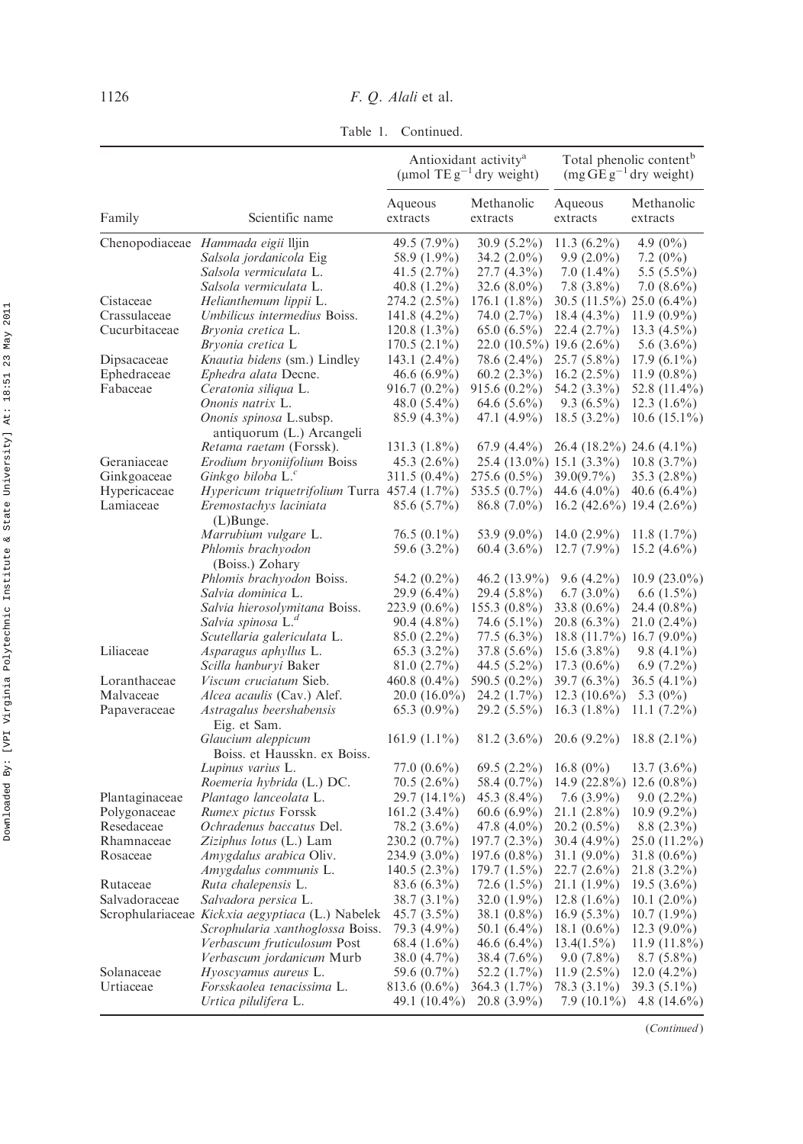Table 1. Continued.

|                            |                                                             | Antioxidant activity <sup>a</sup><br>(µmol TE $g^{-1}$ dry weight) |                               | Total phenolic content <sup>b</sup><br>$(mg \overline{GE} g^{-1}$ dry weight) |                               |
|----------------------------|-------------------------------------------------------------|--------------------------------------------------------------------|-------------------------------|-------------------------------------------------------------------------------|-------------------------------|
| Family                     | Scientific name                                             | Aqueous<br>extracts                                                | Methanolic<br>extracts        | Aqueous<br>extracts                                                           | Methanolic<br>extracts        |
|                            | Chenopodiaceae Hammada eigii lljin                          | 49.5 (7.9%)                                                        | $30.9(5.2\%)$                 | 11.3 $(6.2\%)$                                                                | 4.9 $(0\%)$                   |
|                            | Salsola jordanicola Eig                                     | 58.9 (1.9%)                                                        | $34.2(2.0\%)$                 | $9.9(2.0\%)$                                                                  | 7.2 $(0\%)$                   |
|                            | Salsola vermiculata L.                                      | $41.5(2.7\%)$                                                      | 27.7 (4.3%)                   | $7.0(1.4\%)$                                                                  | $5.5(5.5\%)$                  |
|                            | Salsola vermiculata L.                                      | $40.8(1.2\%)$                                                      | 32.6 $(8.0\%)$                | $7.8(3.8\%)$                                                                  | $7.0(8.6\%)$                  |
| Cistaceae                  | Helianthemum lippii L.                                      | 274.2 (2.5%)                                                       | $176.1(1.8\%)$                | 30.5 (11.5%) 25.0 (6.4%)                                                      |                               |
| Crassulaceae               | Umbilicus intermedius Boiss.                                | 141.8 $(4.2\%)$                                                    | 74.0 (2.7%)                   | $18.4(4.3\%)$                                                                 | $11.9(0.9\%)$                 |
| Cucurbitaceae              | Bryonia cretica L.                                          | 120.8 $(1.3\%)$                                                    | $65.0(6.5\%)$                 | 22.4 (2.7%)                                                                   | $13.3(4.5\%)$                 |
|                            | Bryonia cretica L                                           | $170.5(2.1\%)$                                                     | $22.0(10.5\%)$ 19.6 $(2.6\%)$ |                                                                               | 5.6 $(3.6\%)$                 |
| Dipsacaceae                | <i>Knautia bidens</i> (sm.) Lindley                         | 143.1 $(2.4\%)$                                                    | 78.6 (2.4%)                   | $25.7(5.8\%)$                                                                 | $17.9(6.1\%)$                 |
| Ephedraceae                | <i>Ephedra alata</i> Decne.                                 | $46.6(6.9\%)$                                                      | $60.2(2.3\%)$                 | $16.2(2.5\%)$                                                                 | $11.9(0.8\%)$                 |
| Fabaceae                   | Ceratonia siliqua L.                                        | 916.7 (0.2%)                                                       | $915.6(0.2\%)$                | 54.2 (3.3%)                                                                   | 52.8 (11.4%)                  |
|                            | Ononis natrix L.                                            | 48.0 (5.4%)                                                        | $64.6(5.6\%)$                 | $9.3(6.5\%)$                                                                  | $12.3(1.6\%)$                 |
|                            | Ononis spinosa L.subsp.                                     | 85.9 (4.3%)                                                        | 47.1 (4.9%)                   | $18.5(3.2\%)$                                                                 | $10.6(15.1\%)$                |
|                            | antiquorum (L.) Arcangeli<br><i>Retama raetam</i> (Forssk). | $131.3(1.8\%)$                                                     | $67.9(4.4\%)$                 | $26.4(18.2\%)$ 24.6 $(4.1\%)$                                                 |                               |
| Geraniaceae                | <i>Erodium bryoniifolium Boiss</i>                          | $45.3(2.6\%)$                                                      | 25.4 (13.0%) 15.1 (3.3%)      |                                                                               | $10.8(3.7\%)$                 |
| Ginkgoaceae                | Ginkgo biloba $L^c$                                         | 311.5 (0.4%)                                                       | 275.6 (0.5%)                  | $39.0(9.7\%)$                                                                 | $35.3(2.8\%)$                 |
| Hypericaceae               | <i>Hypericum triquetrifolium</i> Turra $457.4$ (1.7%)       |                                                                    | 535.5 (0.7%)                  | 44.6 $(4.0\%)$                                                                | $40.6(6.4\%)$                 |
| Lamiaceae                  | Eremostachys laciniata                                      | $85.6(5.7\%)$                                                      | $86.8(7.0\%)$                 | $16.2$ (42.6%) 19.4 (2.6%)                                                    |                               |
|                            | $(L)$ Bunge.                                                |                                                                    |                               |                                                                               |                               |
|                            | Marrubium vulgare L.                                        | $76.5(0.1\%)$                                                      | 53.9 (9.0%)                   | 14.0 $(2.9\%)$                                                                | $11.8(1.7\%)$                 |
|                            | Phlomis brachyodon                                          | 59.6 (3.2%)                                                        | $60.4(3.6\%)$                 | $12.7(7.9\%)$                                                                 | 15.2 $(4.6\%)$                |
|                            | (Boiss.) Zohary                                             |                                                                    |                               |                                                                               |                               |
|                            | <i>Phlomis brachyodon Boiss.</i>                            | 54.2 (0.2%)                                                        | 46.2 (13.9%)                  | $9.6(4.2\%)$                                                                  | $10.9(23.0\%)$                |
|                            | Salvia dominica L.                                          | $29.9(6.4\%)$                                                      | 29.4 (5.8%)                   | $6.7(3.0\%)$                                                                  | $6.6(1.5\%)$                  |
|                            | Salvia hierosolymitana Boiss.                               | 223.9 (0.6%)                                                       | $155.3(0.8\%)$                | 33.8 $(0.6\%)$                                                                | 24.4 (0.8%)                   |
|                            | Salvia spinosa L. <sup>a</sup>                              | $90.4(4.8\%)$                                                      | 74.6 (5.1%)                   | $20.8(6.3\%)$                                                                 | $21.0(2.4\%)$                 |
|                            | Scutellaria galericulata L.                                 | $85.0(2.2\%)$                                                      | 77.5 (6.3%)                   | $18.8(11.7%)$ 16.7 (9.0%)                                                     |                               |
| Liliaceae                  | Asparagus aphyllus L.                                       | $65.3(3.2\%)$                                                      | $37.8(5.6\%)$                 | $15.6(3.8\%)$                                                                 | $9.8(4.1\%)$                  |
|                            | Scilla hanburyi Baker                                       | 81.0(2.7%)                                                         | 44.5 (5.2%)                   | $17.3(0.6\%)$                                                                 | $6.9(7.2\%)$                  |
| Loranthaceae               | <i>Viscum cruciatum Sieb.</i>                               | 460.8 (0.4%)                                                       | 590.5 (0.2%)                  | $39.7(6.3\%)$                                                                 | $36.5(4.1\%)$                 |
| Malvaceae                  | <i>Alcea acaulis</i> (Cav.) Alef.                           | $20.0(16.0\%)$                                                     | 24.2 (1.7%)                   | $12.3(10.6\%)$                                                                | 5.3 $(0\%)$                   |
| Papaveraceae               | Astragalus beershabensis                                    | $65.3(0.9\%)$                                                      | 29.2 (5.5%)                   | $16.3(1.8\%)$                                                                 | 11.1 $(7.2\%)$                |
|                            | Eig. et Sam.                                                |                                                                    |                               |                                                                               |                               |
|                            | Glaucium aleppicum                                          | $161.9(1.1\%)$                                                     | $81.2(3.6\%)$                 | $20.6(9.2\%)$                                                                 | $18.8(2.1\%)$                 |
|                            | Boiss. et Hausskn. ex Boiss.                                |                                                                    |                               |                                                                               |                               |
|                            | Lupinus varius L.                                           | $77.0~(0.6\%)$                                                     | $69.5(2.2\%)$                 | 16.8 $(0\%)$                                                                  | $13.7(3.6\%)$                 |
|                            | Roemeria hybrida (L.) DC.                                   | $70.5(2.6\%)$                                                      | 58.4 (0.7%)                   | 14.9 $(22.8\%)$ 12.6 $(0.8\%)$                                                |                               |
| Plantaginaceae             | Plantago lanceolata L.                                      | 29.7 (14.1%)                                                       | $45.3(8.4\%)$                 | $7.6(3.9\%)$                                                                  | $9.0(2.2\%)$                  |
| Polygonaceae<br>Resedaceae | <i>Rumex pictus</i> Forssk<br>Ochradenus baccatus Del.      | $161.2(3.4\%)$<br>78.2 (3.6%)                                      | $60.6(6.9\%)$<br>47.8 (4.0%)  | $21.1(2.8\%)$<br>$20.2(0.5\%)$                                                | $10.9(9.2\%)$<br>$8.8(2.3\%)$ |
| Rhamnaceae                 | Ziziphus lotus (L.) Lam                                     | 230.2 (0.7%)                                                       | $197.7(2.3\%)$                | $30.4(4.9\%)$                                                                 | $25.0(11.2\%)$                |
| Rosaceae                   | Amygdalus arabica Oliv.                                     | 234.9 (3.0%)                                                       | $197.6(0.8\%)$                | $31.1(9.0\%)$                                                                 | $31.8(0.6\%)$                 |
|                            | Amygdalus communis L.                                       | $140.5(2.3\%)$                                                     | $179.7(1.5\%)$                | $22.7(2.6\%)$                                                                 | $21.8(3.2\%)$                 |
| Rutaceae                   | Ruta chalepensis L.                                         | 83.6 $(6.3\%)$                                                     | 72.6 (1.5%)                   | $21.1(1.9\%)$                                                                 | 19.5 $(3.6\%)$                |
| Salvadoraceae              | Salvadora persica L.                                        | $38.7(3.1\%)$                                                      | 32.0 $(1.9\%)$                | $12.8(1.6\%)$                                                                 | $10.1(2.0\%)$                 |
|                            | Scrophulariaceae Kickxia aegyptiaca (L.) Nabelek            | $45.7(3.5\%)$                                                      | 38.1 $(0.8\%)$                | $16.9(5.3\%)$                                                                 | $10.7(1.9\%)$                 |
|                            | Scrophularia xanthoglossa Boiss.                            | 79.3 (4.9%)                                                        | 50.1 $(6.4\%)$                | 18.1 $(0.6\%)$                                                                | $12.3(9.0\%)$                 |
|                            | Verbascum fruticulosum Post                                 | 68.4 $(1.6\%)$                                                     | $46.6(6.4\%)$                 | $13.4(1.5\%)$                                                                 | $11.9(11.8\%)$                |
|                            | Verbascum jordanicum Murb                                   | 38.0 (4.7%)                                                        | 38.4 (7.6%)                   | $9.0(7.8\%)$                                                                  | $8.7(5.8\%)$                  |
| Solanaceae                 | Hyoscyamus aureus L.                                        | 59.6 (0.7%)                                                        | 52.2 (1.7%)                   | $11.9(2.5\%)$                                                                 | $12.0(4.2\%)$                 |
| Urtiaceae                  | Forsskaolea tenacissima L.                                  | 813.6 (0.6%)                                                       | 364.3 (1.7%)                  | 78.3 (3.1%)                                                                   | $39.3(5.1\%)$                 |
|                            | Urtica pilulifera L.                                        | 49.1 (10.4%)                                                       | $20.8(3.9\%)$                 | $7.9(10.1\%)$                                                                 | 4.8 $(14.6\%)$                |

(Continued )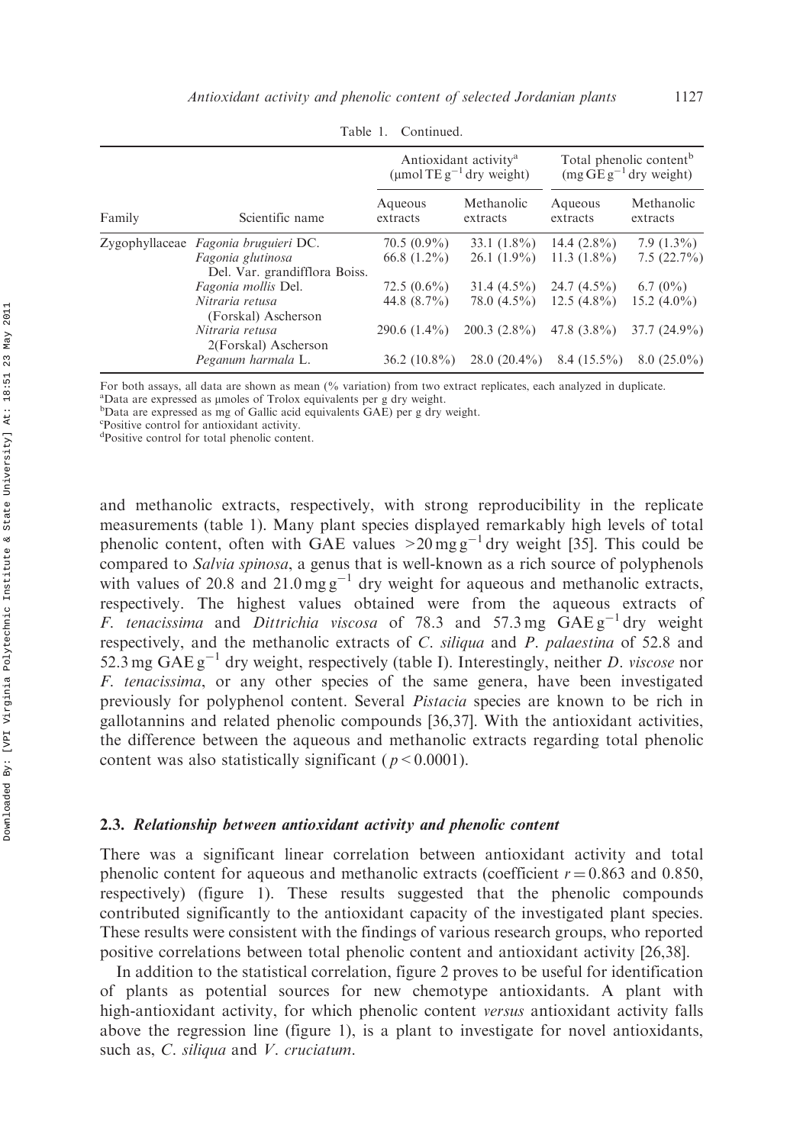|        | Scientific name                                                                            | Antioxidant activity <sup>a</sup><br>(µmol TE $g^{-1}$ dry weight) |                                  | Total phenolic content <sup>b</sup><br>$(mg \overline{GE} g^{-1}$ dry weight) |                                 |
|--------|--------------------------------------------------------------------------------------------|--------------------------------------------------------------------|----------------------------------|-------------------------------------------------------------------------------|---------------------------------|
| Family |                                                                                            | Aqueous<br>extracts                                                | Methanolic<br>extracts           | Aqueous<br>extracts                                                           | Methanolic<br>extracts          |
|        | Zygophyllaceae Fagonia bruguieri DC.<br>Fagonia glutinosa<br>Del. Var. grandifflora Boiss. | $70.5(0.9\%)$<br>66.8 $(1.2\%)$                                    | $33.1(1.8\%)$<br>$26.1(1.9\%)$   | 14.4 $(2.8\%)$<br>$11.3(1.8\%)$                                               | $7.9(1.3\%)$<br>7.5(22.7%)      |
|        | Fagonia mollis Del.<br>Nitraria retusa<br>(Forskal) Ascherson                              | $72.5(0.6\%)$<br>44.8 $(8.7\%)$                                    | $31.4(4.5\%)$<br>$78.0(4.5\%)$   | $24.7(4.5\%)$<br>$12.5(4.8\%)$                                                | 6.7 $(0\%)$<br>15.2 $(4.0\%)$   |
|        | Nitraria retusa<br>2(Forskal) Ascherson<br>Peganum harmala L.                              | $290.6(1.4\%)$<br>$36.2(10.8\%)$                                   | $200.3(2.8\%)$<br>$28.0(20.4\%)$ | 47.8 $(3.8\%)$<br>$8.4(15.5\%)$                                               | $37.7(24.9\%)$<br>$8.0(25.0\%)$ |

Table 1. Continued.

For both assays, all data are shown as mean (% variation) from two extract replicates, each analyzed in duplicate.

<sup>a</sup>Data are expressed as umoles of Trolox equivalents per g dry weight.

<sup>b</sup>Data are expressed as mg of Gallic acid equivalents GAE) per g dry weight.

c Positive control for antioxidant activity.

d Positive control for total phenolic content.

and methanolic extracts, respectively, with strong reproducibility in the replicate measurements (table 1). Many plant species displayed remarkably high levels of total phenolic content, often with GAE values  $>20$  mg g<sup>-1</sup> dry weight [35]. This could be compared to *Salvia spinosa*, a genus that is well-known as a rich source of polyphenols with values of 20.8 and  $21.0 \text{ mg g}^{-1}$  dry weight for aqueous and methanolic extracts, respectively. The highest values obtained were from the aqueous extracts of F. tenacissima and Dittrichia viscosa of 78.3 and 57.3 mg  $GAEg^{-1}$  dry weight respectively, and the methanolic extracts of C. siliqua and P. palaestina of 52.8 and 52.3 mg GAE  $g^{-1}$  dry weight, respectively (table I). Interestingly, neither D. viscose nor F. tenacissima, or any other species of the same genera, have been investigated previously for polyphenol content. Several Pistacia species are known to be rich in gallotannins and related phenolic compounds [36,37]. With the antioxidant activities, the difference between the aqueous and methanolic extracts regarding total phenolic content was also statistically significant ( $p < 0.0001$ ).

#### 2.3. Relationship between antioxidant activity and phenolic content

There was a significant linear correlation between antioxidant activity and total phenolic content for aqueous and methanolic extracts (coefficient  $r = 0.863$  and 0.850, respectively) (figure 1). These results suggested that the phenolic compounds contributed significantly to the antioxidant capacity of the investigated plant species. These results were consistent with the findings of various research groups, who reported positive correlations between total phenolic content and antioxidant activity [26,38].

In addition to the statistical correlation, figure 2 proves to be useful for identification of plants as potential sources for new chemotype antioxidants. A plant with high-antioxidant activity, for which phenolic content versus antioxidant activity falls above the regression line (figure 1), is a plant to investigate for novel antioxidants, such as, C. siliqua and V. cruciatum.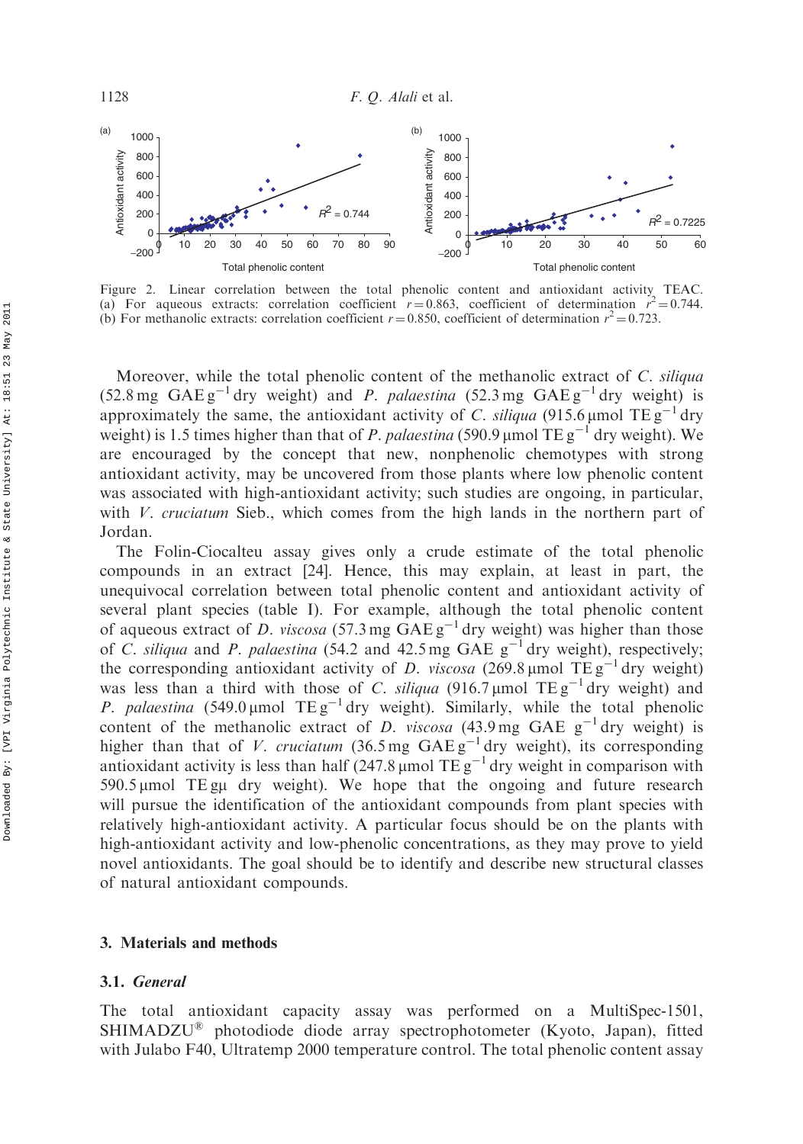

Figure 2. Linear correlation between the total phenolic content and antioxidant activity TEAC. (a) For aqueous extracts: correlation coefficient  $r = 0.863$ , coefficient of determination  $r^2 = 0.744$ . (b) For methanolic extracts: correlation coefficient  $r = 0.850$ , coefficient of determination  $r^2 = 0.723$ .

Moreover, while the total phenolic content of the methanolic extract of C. siliqua  $(52.8 \text{ mg } \text{GAE} \text{g}^{-1} \text{dry weight})$  and *P. palaestina*  $(52.3 \text{ mg } \text{GAE} \text{g}^{-1} \text{dry weight})$  is approximately the same, the antioxidant activity of C. siliqua (915.6 µmol TE  $g^{-1}$  dry weight) is 1.5 times higher than that of P. palaestina (590.9 µmol TE  $g^{-1}$  dry weight). We are encouraged by the concept that new, nonphenolic chemotypes with strong antioxidant activity, may be uncovered from those plants where low phenolic content was associated with high-antioxidant activity; such studies are ongoing, in particular, with *V. cruciatum* Sieb., which comes from the high lands in the northern part of Jordan.

The Folin-Ciocalteu assay gives only a crude estimate of the total phenolic compounds in an extract [24]. Hence, this may explain, at least in part, the unequivocal correlation between total phenolic content and antioxidant activity of several plant species (table I). For example, although the total phenolic content of aqueous extract of D. viscosa (57.3 mg  $GAE g^{-1}$  dry weight) was higher than those of C. siliqua and P. palaestina (54.2 and 42.5 mg GAE  $g^{-1}$  dry weight), respectively; the corresponding antioxidant activity of D. viscosa (269.8 µmol TE  $g^{-1}$  dry weight) was less than a third with those of C. *siliqua* (916.7 µmol  $TEg^{-1}$  dry weight) and P. palaestina  $(549.0 \,\mathrm{\upmu} \text{mol} \text{TE g}^{-1} \text{dry weight})$ . Similarly, while the total phenolic content of the methanolic extract of D. viscosa (43.9 mg GAE  $g^{-1}$  dry weight) is higher than that of V. cruciatum (36.5 mg  $GAEg^{-1}$  dry weight), its corresponding antioxidant activity is less than half (247.8 µmol  $TEg^{-1}$  dry weight in comparison with  $590.5 \mu$ mol TE g $\mu$  dry weight). We hope that the ongoing and future research will pursue the identification of the antioxidant compounds from plant species with relatively high-antioxidant activity. A particular focus should be on the plants with high-antioxidant activity and low-phenolic concentrations, as they may prove to yield novel antioxidants. The goal should be to identify and describe new structural classes of natural antioxidant compounds.

#### 3. Materials and methods

#### 3.1. General

The total antioxidant capacity assay was performed on a MultiSpec-1501, SHIMADZU<sup>®</sup> photodiode diode array spectrophotometer (Kyoto, Japan), fitted with Julabo F40, Ultratemp 2000 temperature control. The total phenolic content assay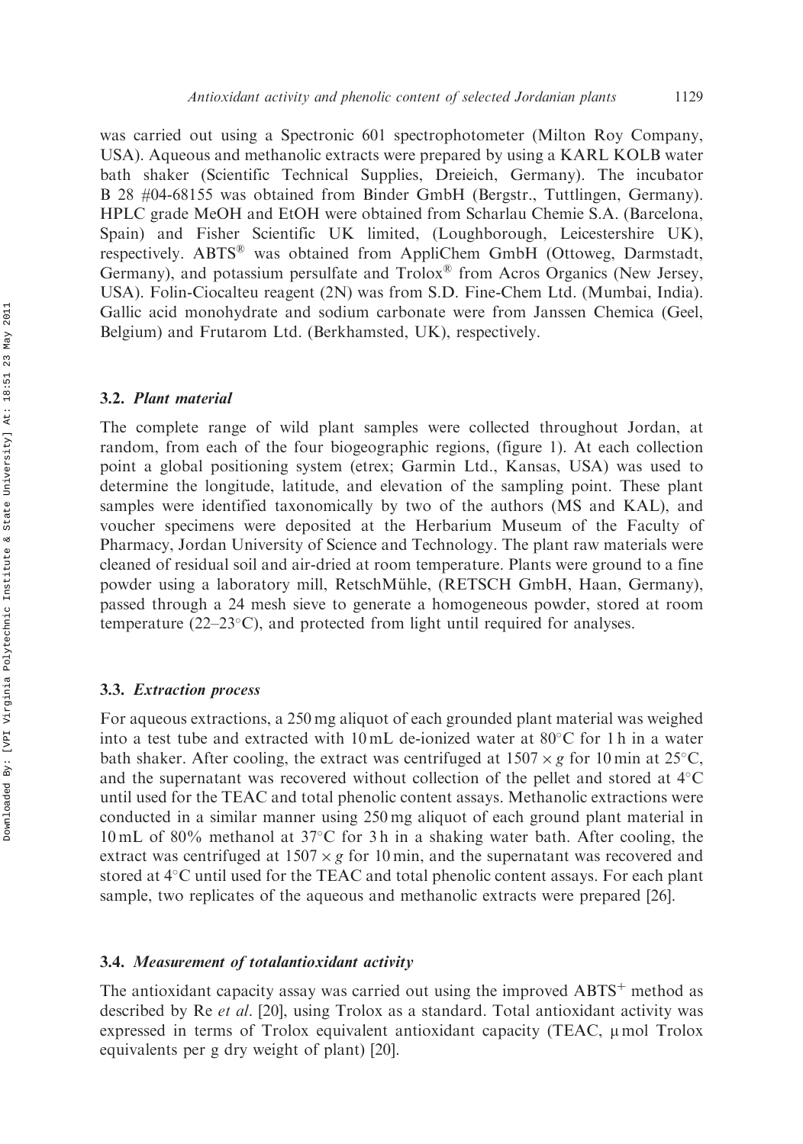was carried out using a Spectronic 601 spectrophotometer (Milton Roy Company, USA). Aqueous and methanolic extracts were prepared by using a KARL KOLB water bath shaker (Scientific Technical Supplies, Dreieich, Germany). The incubator B 28 #04-68155 was obtained from Binder GmbH (Bergstr., Tuttlingen, Germany). HPLC grade MeOH and EtOH were obtained from Scharlau Chemie S.A. (Barcelona, Spain) and Fisher Scientific UK limited, (Loughborough, Leicestershire UK), respectively. ABTS® was obtained from AppliChem GmbH (Ottoweg, Darmstadt, Germany), and potassium persulfate and Trolox® from Acros Organics (New Jersey, USA). Folin-Ciocalteu reagent (2N) was from S.D. Fine-Chem Ltd. (Mumbai, India). Gallic acid monohydrate and sodium carbonate were from Janssen Chemica (Geel, Belgium) and Frutarom Ltd. (Berkhamsted, UK), respectively.

#### 3.2. Plant material

The complete range of wild plant samples were collected throughout Jordan, at random, from each of the four biogeographic regions, (figure 1). At each collection point a global positioning system (etrex; Garmin Ltd., Kansas, USA) was used to determine the longitude, latitude, and elevation of the sampling point. These plant samples were identified taxonomically by two of the authors (MS and KAL), and voucher specimens were deposited at the Herbarium Museum of the Faculty of Pharmacy, Jordan University of Science and Technology. The plant raw materials were cleaned of residual soil and air-dried at room temperature. Plants were ground to a fine powder using a laboratory mill, RetschMühle, (RETSCH GmbH, Haan, Germany), passed through a 24 mesh sieve to generate a homogeneous powder, stored at room temperature  $(22-23\degree C)$ , and protected from light until required for analyses.

#### 3.3. Extraction process

For aqueous extractions, a 250 mg aliquot of each grounded plant material was weighed into a test tube and extracted with 10 mL de-ionized water at 80°C for 1 h in a water bath shaker. After cooling, the extract was centrifuged at  $1507 \times g$  for 10 min at  $25^{\circ}$ C, and the supernatant was recovered without collection of the pellet and stored at  $4^{\circ}$ C until used for the TEAC and total phenolic content assays. Methanolic extractions were conducted in a similar manner using 250 mg aliquot of each ground plant material in 10 mL of 80% methanol at 37°C for 3h in a shaking water bath. After cooling, the extract was centrifuged at  $1507 \times g$  for 10 min, and the supernatant was recovered and stored at 4°C until used for the TEAC and total phenolic content assays. For each plant sample, two replicates of the aqueous and methanolic extracts were prepared [26].

#### 3.4. Measurement of totalantioxidant activity

The antioxidant capacity assay was carried out using the improved  $ABTS<sup>+</sup>$  method as described by Re *et al.* [20], using Trolox as a standard. Total antioxidant activity was expressed in terms of Trolox equivalent antioxidant capacity (TEAC,  $\mu$  mol Trolox equivalents per g dry weight of plant) [20].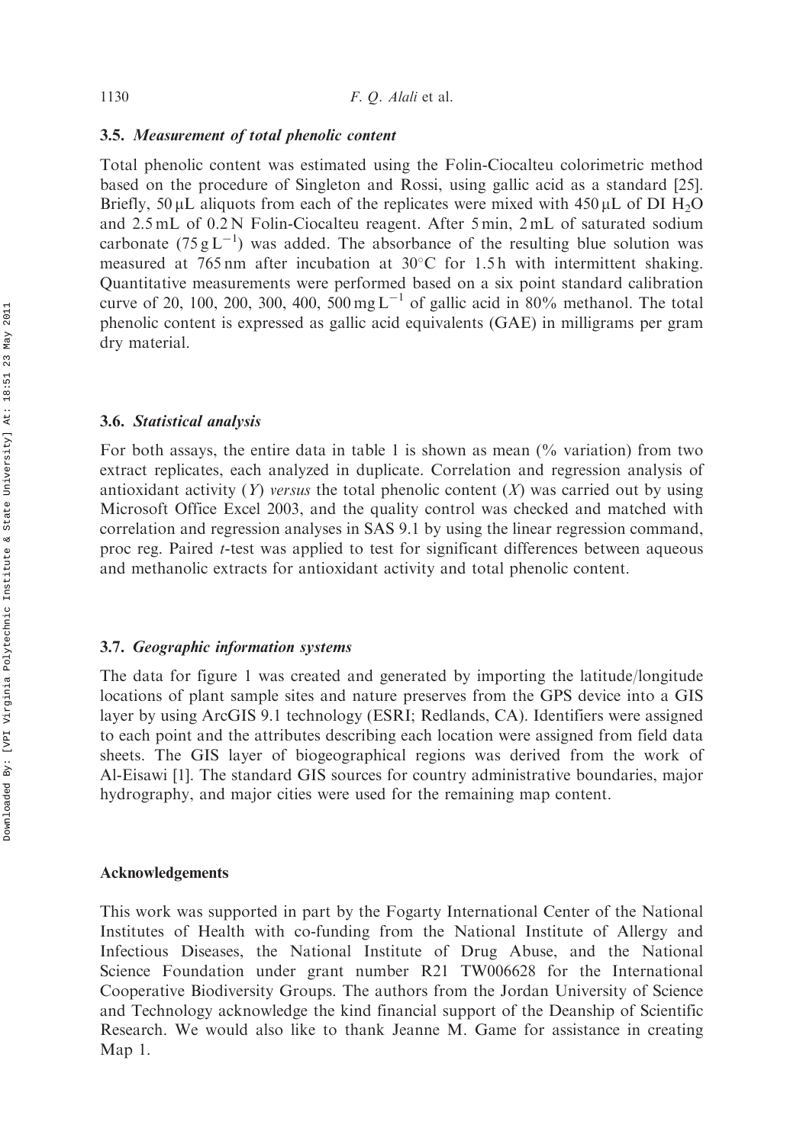# 3.5. Measurement of total phenolic content

Total phenolic content was estimated using the Folin-Ciocalteu colorimetric method based on the procedure of Singleton and Rossi, using gallic acid as a standard [25]. Briefly, 50  $\mu$ L aliquots from each of the replicates were mixed with 450  $\mu$ L of DI H<sub>2</sub>O and 2.5 mL of 0.2 N Folin-Ciocalteu reagent. After 5 min, 2 mL of saturated sodium carbonate  $(75 g L^{-1})$  was added. The absorbance of the resulting blue solution was measured at 765 nm after incubation at 30°C for 1.5h with intermittent shaking. Quantitative measurements were performed based on a six point standard calibration curve of 20, 100, 200, 300, 400,  $500 \text{ mg L}^{-1}$  of gallic acid in 80% methanol. The total phenolic content is expressed as gallic acid equivalents (GAE) in milligrams per gram dry material.

## 3.6. Statistical analysis

For both assays, the entire data in table 1 is shown as mean  $\frac{6}{6}$  variation) from two extract replicates, each analyzed in duplicate. Correlation and regression analysis of antioxidant activity  $(Y)$  versus the total phenolic content  $(X)$  was carried out by using Microsoft Office Excel 2003, and the quality control was checked and matched with correlation and regression analyses in SAS 9.1 by using the linear regression command, proc reg. Paired *t*-test was applied to test for significant differences between aqueous and methanolic extracts for antioxidant activity and total phenolic content.

## 3.7. Geographic information systems

The data for figure 1 was created and generated by importing the latitude/longitude locations of plant sample sites and nature preserves from the GPS device into a GIS layer by using ArcGIS 9.1 technology (ESRI; Redlands, CA). Identifiers were assigned to each point and the attributes describing each location were assigned from field data sheets. The GIS layer of biogeographical regions was derived from the work of Al-Eisawi [1]. The standard GIS sources for country administrative boundaries, major hydrography, and major cities were used for the remaining map content.

#### Acknowledgements

This work was supported in part by the Fogarty International Center of the National Institutes of Health with co-funding from the National Institute of Allergy and Infectious Diseases, the National Institute of Drug Abuse, and the National Science Foundation under grant number R21 TW006628 for the International Cooperative Biodiversity Groups. The authors from the Jordan University of Science and Technology acknowledge the kind financial support of the Deanship of Scientific Research. We would also like to thank Jeanne M. Game for assistance in creating Map 1.